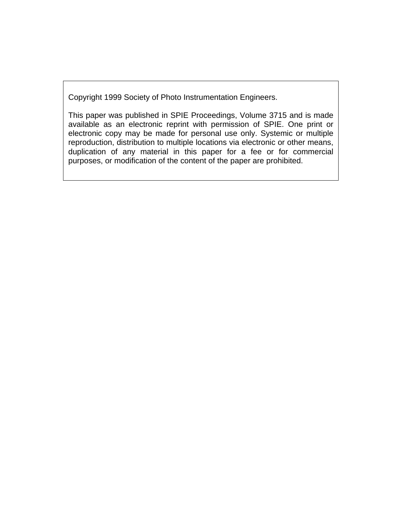Copyright 1999 Society of Photo Instrumentation Engineers.

This paper was published in SPIE Proceedings, Volume 3715 and is made available as an electronic reprint with permission of SPIE. One print or electronic copy may be made for personal use only. Systemic or multiple reproduction, distribution to multiple locations via electronic or other means, duplication of any material in this paper for a fee or for commercial purposes, or modification of the content of the paper are prohibited.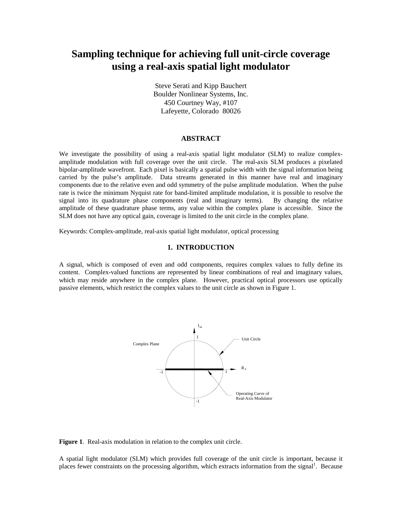# **Sampling technique for achieving full unit-circle coverage using a real-axis spatial light modulator**

Steve Serati and Kipp Bauchert Boulder Nonlinear Systems, Inc. 450 Courtney Way, #107 Lafeyette, Colorado 80026

#### **ABSTRACT**

We investigate the possibility of using a real-axis spatial light modulator (SLM) to realize complexamplitude modulation with full coverage over the unit circle. The real-axis SLM produces a pixelated bipolar-amplitude wavefront. Each pixel is basically a spatial pulse width with the signal information being carried by the pulse's amplitude. Data streams generated in this manner have real and imaginary components due to the relative even and odd symmetry of the pulse amplitude modulation. When the pulse rate is twice the minimum Nyquist rate for band-limited amplitude modulation, it is possible to resolve the signal into its quadrature phase components (real and imaginary terms). By changing the relative amplitude of these quadrature phase terms, any value within the complex plane is accessible. Since the SLM does not have any optical gain, coverage is limited to the unit circle in the complex plane.

Keywords: Complex-amplitude, real-axis spatial light modulator, optical processing

## **1. INTRODUCTION**

A signal, which is composed of even and odd components, requires complex values to fully define its content. Complex-valued functions are represented by linear combinations of real and imaginary values, which may reside anywhere in the complex plane. However, practical optical processors use optically passive elements, which restrict the complex values to the unit circle as shown in Figure 1.



**Figure 1**. Real-axis modulation in relation to the complex unit circle.

A spatial light modulator (SLM) which provides full coverage of the unit circle is important, because it places fewer constraints on the processing algorithm, which extracts information from the signal<sup>1</sup>. Because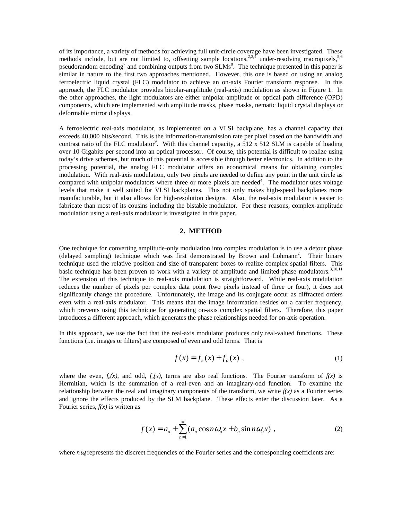of its importance, a variety of methods for achieving full unit-circle coverage have been investigated. These methods include, but are not limited to, offsetting sample locations,<sup>2,3,4</sup> under-resolving macropixels,<sup>5,6</sup> pseudorandom encoding<sup>7</sup> and combining outputs from two SLMs<sup>8</sup>. The technique presented in this paper is similar in nature to the first two approaches mentioned. However, this one is based on using an analog ferroelectric liquid crystal (FLC) modulator to achieve an on-axis Fourier transform response. In this approach, the FLC modulator provides bipolar-amplitude (real-axis) modulation as shown in Figure 1. In the other approaches, the light modulators are either unipolar-amplitude or optical path difference (OPD) components, which are implemented with amplitude masks, phase masks, nematic liquid crystal displays or deformable mirror displays.

A ferroelectric real-axis modulator, as implemented on a VLSI backplane, has a channel capacity that exceeds 40,000 bits/second. This is the information-transmission rate per pixel based on the bandwidth and contrast ratio of the FLC modulator<sup>9</sup>. With this channel capacity, a  $\frac{512 \times 512}{8}$  SLM is capable of loading over 10 Gigabits per second into an optical processor. Of course, this potential is difficult to realize using today's drive schemes, but much of this potential is accessible through better electronics. In addition to the processing potential, the analog FLC modulator offers an economical means for obtaining complex modulation. With real-axis modulation, only two pixels are needed to define any point in the unit circle as compared with unipolar modulators where three or more pixels are needed<sup>4</sup>. The modulator uses voltage levels that make it well suited for VLSI backplanes. This not only makes high-speed backplanes more manufacturable, but it also allows for high-resolution designs. Also, the real-axis modulator is easier to fabricate than most of its cousins including the bistable modulator. For these reasons, complex-amplitude modulation using a real-axis modulator is investigated in this paper.

## **2. METHOD**

One technique for converting amplitude-only modulation into complex modulation is to use a detour phase (delayed sampling) technique which was first demonstrated by Brown and Lohmann<sup>2</sup>. Their binary technique used the relative position and size of transparent boxes to realize complex spatial filters. This basic technique has been proven to work with a variety of amplitude and limited-phase modulators.<sup>3,10,11</sup> The extension of this technique to real-axis modulation is straightforward. While real-axis modulation reduces the number of pixels per complex data point (two pixels instead of three or four), it does not significantly change the procedure. Unfortunately, the image and its conjugate occur as diffracted orders even with a real-axis modulator. This means that the image information resides on a carrier frequency, which prevents using this technique for generating on-axis complex spatial filters. Therefore, this paper introduces a different approach, which generates the phase relationships needed for on-axis operation.

In this approach, we use the fact that the real-axis modulator produces only real-valued functions. These functions (i.e. images or filters) are composed of even and odd terms. That is

$$
f(x) = f_e(x) + f_o(x) \t\t(1)
$$

where the even,  $f_e(x)$ , and odd,  $f_o(x)$ , terms are also real functions. The Fourier transform of  $f(x)$  is Hermitian, which is the summation of a real-even and an imaginary-odd function. To examine the relationship between the real and imaginary components of the transform, we write  $f(x)$  as a Fourier series and ignore the effects produced by the SLM backplane. These effects enter the discussion later. As a Fourier series, *f(x)* is written as

$$
f(x) = a_o + \sum_{n=1}^{\infty} (a_n \cos n\omega_o x + b_n \sin n\omega_o x) ,
$$
 (2)

where  $n\omega$  represents the discreet frequencies of the Fourier series and the corresponding coefficients are: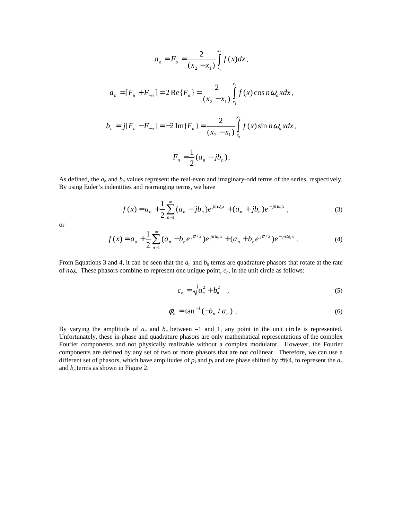$$
a_{o} = F_{o} = \frac{2}{(x_{2} - x_{1})} \int_{x_{1}}^{x_{2}} f(x) dx,
$$
  
\n
$$
a_{n} = [F_{n} + F_{-n}] = 2 \operatorname{Re} \{F_{n}\} = \frac{2}{(x_{2} - x_{1})} \int_{x_{1}}^{x_{2}} f(x) \cos n \omega_{o} x dx,
$$
  
\n
$$
b_{n} = j[F_{n} - F_{-n}] = -2 \operatorname{Im} \{F_{n}\} = \frac{2}{(x_{2} - x_{1})} \int_{x_{1}}^{x_{2}} f(x) \sin n \omega_{o} x dx,
$$
  
\n
$$
F_{n} = \frac{1}{2} (a_{n} - jb_{n}).
$$

As defined, the  $a_n$  and  $b_n$  values represent the real-even and imaginary-odd terms of the series, respectively. By using Euler's indentities and rearranging terms, we have

$$
f(x) = a_o + \frac{1}{2} \sum_{n=1}^{\infty} (a_n - jb_n) e^{jn\omega_o x} + (a_n + jb_n) e^{-jn\omega_o x},
$$
 (3)

or

$$
f(x) = a_o + \frac{1}{2} \sum_{n=1}^{\infty} (a_n - b_n e^{j\pi/2}) e^{jn\omega_o x} + (a_n + b_n e^{j\pi/2}) e^{-jn\omega_o x}.
$$
 (4)

From Equations 3 and 4, it can be seen that the  $a_n$  and  $b_n$  terms are quadrature phasors that rotate at the rate of *n* $\omega$ <sup>*o*</sup>. These phasors combine to represent one unique point,  $c_n$ , in the unit circle as follows:

$$
c_n = \sqrt{a_n^2 + b_n^2} \quad , \tag{5}
$$

$$
\phi_n = \tan^{-1}(-b_n / a_n) \tag{6}
$$

By varying the amplitude of  $a_n$  and  $b_n$  between  $-1$  and 1, any point in the unit circle is represented. Unfortunately, these in-phase and quadrature phasors are only mathematical representations of the complex Fourier components and not physically realizable without a complex modulator. However, the Fourier components are defined by any set of two or more phasors that are not collinear. Therefore, we can use a different set of phasors, which have amplitudes of  $p_k$  and  $p_l$  and are phase shifted by  $\pm \pi/4$ , to represent the  $a_n$ and  $b_n$  terms as shown in Figure 2.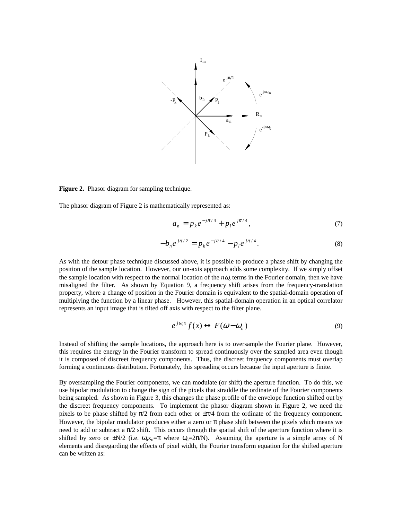

**Figure 2.** Phasor diagram for sampling technique.

The phasor diagram of Figure 2 is mathematically represented as:

$$
a_n = p_k e^{-j\pi/4} + p_l e^{j\pi/4}, \qquad (7)
$$

$$
-b_n e^{j\pi/2} = p_k e^{-j\pi/4} - p_l e^{j\pi/4}.
$$
 (8)

As with the detour phase technique discussed above, it is possible to produce a phase shift by changing the position of the sample location. However, our on-axis approach adds some complexity. If we simply offset the sample location with respect to the normal location of the  $n\omega$  terms in the Fourier domain, then we have misaligned the filter. As shown by Equation 9, a frequency shift arises from the frequency-translation property, where a change of position in the Fourier domain is equivalent to the spatial-domain operation of multiplying the function by a linear phase. However, this spatial-domain operation in an optical correlator represents an input image that is tilted off axis with respect to the filter plane.

$$
e^{j\omega_o x} f(x) \leftrightarrow F(\omega - \omega_o)
$$
 (9)

Instead of shifting the sample locations, the approach here is to oversample the Fourier plane. However, this requires the energy in the Fourier transform to spread continuously over the sampled area even though it is composed of discreet frequency components. Thus, the discreet frequency components must overlap forming a continuous distribution. Fortunately, this spreading occurs because the input aperture is finite.

By oversampling the Fourier components, we can modulate (or shift) the aperture function. To do this, we use bipolar modulation to change the sign of the pixels that straddle the ordinate of the Fourier components being sampled. As shown in Figure 3, this changes the phase profile of the envelope function shifted out by the discreet frequency components. To implement the phasor diagram shown in Figure 2, we need the pixels to be phase shifted by  $\pi/2$  from each other or  $\pm \pi/4$  from the ordinate of the frequency component. However, the bipolar modulator produces either a zero or  $\pi$  phase shift between the pixels which means we need to add or subtract a  $\pi/2$  shift. This occurs through the spatial shift of the aperture function where it is shifted by zero or  $\pm N/2$  (i.e.  $\omega_0 x_0 = \pi$  where  $\omega_0 = 2\pi/N$ ). Assuming the aperture is a simple array of N elements and disregarding the effects of pixel width, the Fourier transform equation for the shifted aperture can be written as: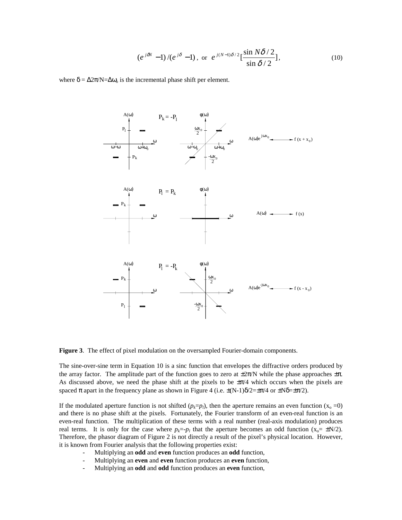$$
\left(e^{j\delta N}-1\right)/\left(e^{j\delta}-1\right),\text{ or }e^{j(N-1)\delta/2}\left[\frac{\sin N\delta/2}{\sin \delta/2}\right],\tag{10}
$$

where  $\delta = \Delta 2\pi/N = \Delta \omega_0$  is the incremental phase shift per element.



**Figure 3**. The effect of pixel modulation on the oversampled Fourier-domain components.

The sine-over-sine term in Equation 10 is a sinc function that envelopes the diffractive orders produced by the array factor. The amplitude part of the function goes to zero at  $\pm 2\pi/N$  while the phase approaches  $\pm \pi$ . As discussed above, we need the phase shift at the pixels to be  $\pm \pi/4$  which occurs when the pixels are spaced  $\pi$  apart in the frequency plane as shown in Figure 4 (i.e.  $\pm(N-1)\delta/2=\pm\pi/4$  or  $\pm N\delta=\pm\pi/2$ ).

If the modulated aperture function is not shifted  $(p_k=p_l)$ , then the aperture remains an even function  $(x_0 = 0)$ and there is no phase shift at the pixels. Fortunately, the Fourier transform of an even-real function is an even-real function. The multiplication of these terms with a real number (real-axis modulation) produces real terms. It is only for the case where  $p_k = -p_l$  that the aperture becomes an odd function  $(x_0 = \pm N/2)$ . Therefore, the phasor diagram of Figure 2 is not directly a result of the pixel's physical location. However, it is known from Fourier analysis that the following properties exist:

- Multiplying an **odd** and **even** function produces an **odd** function,
- Multiplying an **even** and **even** function produces an **even** function,
- Multiplying an **odd** and **odd** function produces an **even** function,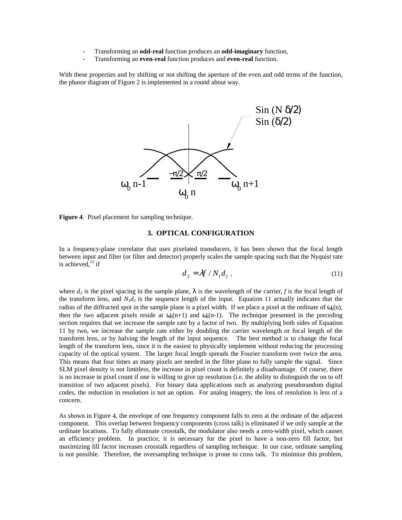- Transforming an **odd-real** function produces an **odd-imaginary** function,
- Transforming an **even-real** function produces and **even-real** function.

With these properties and by shifting or not shifting the aperture of the even and odd terms of the function, the phasor diagram of Figure 2 is implemented in a round about way.



**Figure 4**. Pixel placement for sampling technique.

#### **3. OPTICAL CONFIGURATION**

In a frequency-plane correlator that uses pixelated transducers, it has been shown that the focal length between input and filter (or filter and detector) properly scales the sample spacing such that the Nyquist rate is achieved, $^{12}$  if

$$
d_2 = \lambda f / N_1 d_1 , \qquad (11)
$$

where  $d_2$  is the pixel spacing in the sample plane,  $\lambda$  is the wavelength of the carrier, *f* is the focal length of the transform lens, and  $N_1d_1$  is the sequence length of the input. Equation 11 actually indicates that the radius of the diffracted spot in the sample plane is a pixel width. If we place a pixel at the ordinate of  $\omega_0(n)$ , then the two adjacent pixels reside at  $\omega_0(n+1)$  and  $\omega_0(n-1)$ . The technique presented in the preceding section requires that we increase the sample rate by a factor of two. By multiplying both sides of Equation 11 by two, we increase the sample rate either by doubling the carrier wavelength or focal length of the transform lens, or by halving the length of the input sequence. The best method is to change the focal length of the transform lens, since it is the easiest to physically implement without reducing the processing capacity of the optical system. The larger focal length spreads the Fourier transform over twice the area. This means that four times as many pixels are needed in the filter plane to fully sample the signal. Since SLM pixel density is not limitless, the increase in pixel count is definitely a disadvantage. Of course, there is no increase in pixel count if one is willing to give up resolution (i.e. the ability to distinguish the on to off transition of two adjacent pixels). For binary data applications such as analyzing pseudorandom digital codes, the reduction in resolution is not an option. For analog imagery, the loss of resolution is less of a concern.

As shown in Figure 4, the envelope of one frequency component falls to zero at the ordinate of the adjacent component. This overlap between frequency components (cross talk) is eliminated if we only sample at the ordinate locations. To fully eliminate crosstalk, the modulator also needs a zero-width pixel, which causes an efficiency problem. In practice, it is necessary for the pixel to have a non-zero fill factor, but maximizing fill factor increases crosstalk regardless of sampling technique. In our case, ordinate sampling is not possible. Therefore, the oversampling technique is prone to cross talk. To minimize this problem,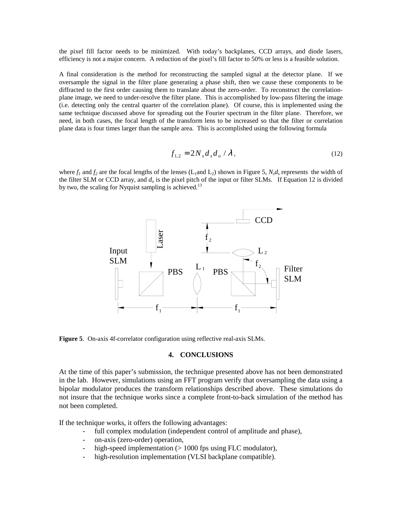the pixel fill factor needs to be minimized. With today's backplanes, CCD arrays, and diode lasers, efficiency is not a major concern. A reduction of the pixel's fill factor to 50% or less is a feasible solution.

A final consideration is the method for reconstructing the sampled signal at the detector plane. If we oversample the signal in the filter plane generating a phase shift, then we cause these components to be diffracted to the first order causing them to translate about the zero-order. To reconstruct the correlationplane image, we need to under-resolve the filter plane. This is accomplished by low-pass filtering the image (i.e. detecting only the central quarter of the correlation plane). Of course, this is implemented using the same technique discussed above for spreading out the Fourier spectrum in the filter plane. Therefore, we need, in both cases, the focal length of the transform lens to be increased so that the filter or correlation plane data is four times larger than the sample area. This is accomplished using the following formula

$$
f_{1,2} = 2N_s d_s d_o / \lambda, \qquad (12)
$$

where  $f_1$  and  $f_2$  are the focal lengths of the lenses (L<sub>1</sub>and L<sub>2</sub>) shown in Figure 5,  $N_s d_s$  represents the width of the filter SLM or CCD array, and  $d<sub>o</sub>$  is the pixel pitch of the input or filter SLMs. If Equation 12 is divided by two, the scaling for Nyquist sampling is achieved.<sup>13</sup>



**Figure 5**. On-axis 4f-correlator configuration using reflective real-axis SLMs.

### **4. CONCLUSIONS**

At the time of this paper's submission, the technique presented above has not been demonstrated in the lab. However, simulations using an FFT program verify that oversampling the data using a bipolar modulator produces the transform relationships described above. These simulations do not insure that the technique works since a complete front-to-back simulation of the method has not been completed.

If the technique works, it offers the following advantages:

- full complex modulation (independent control of amplitude and phase),
- on-axis (zero-order) operation,
- high-speed implementation  $(> 1000$  fps using FLC modulator),
- high-resolution implementation (VLSI backplane compatible).